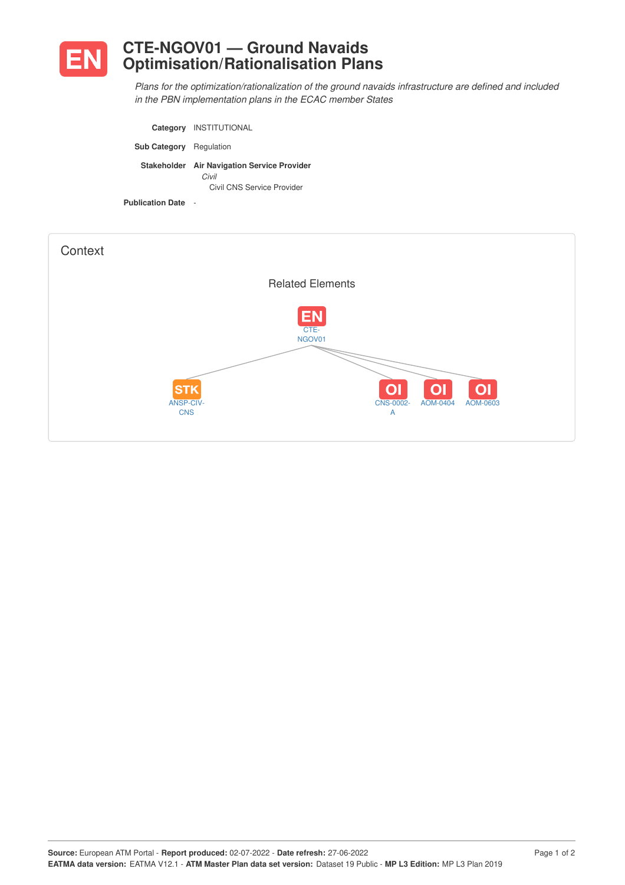

*Plans for the optimization/rationalization of the ground navaids infrastructure are defined and included in the PBN implementation plans in the ECAC member States*

|                                | Category INSTITUTIONAL                                                             |
|--------------------------------|------------------------------------------------------------------------------------|
| <b>Sub Category</b> Regulation |                                                                                    |
|                                | Stakeholder Air Navigation Service Provider<br>Civil<br>Civil CNS Service Provider |
| <b>Publication Date</b>        |                                                                                    |

| Context                               |                                                                                                                                                 |
|---------------------------------------|-------------------------------------------------------------------------------------------------------------------------------------------------|
|                                       | <b>Related Elements</b>                                                                                                                         |
| <b>STK</b><br>ANSP-CIV-<br><b>CNS</b> | <b>EN</b><br>CTE-<br>NGOV01<br>O <sub>1</sub><br>O <sub>1</sub><br>O <sub>1</sub><br><b>CNS-0002-</b><br>AOM-0404<br>AOM-0603<br>$\overline{A}$ |